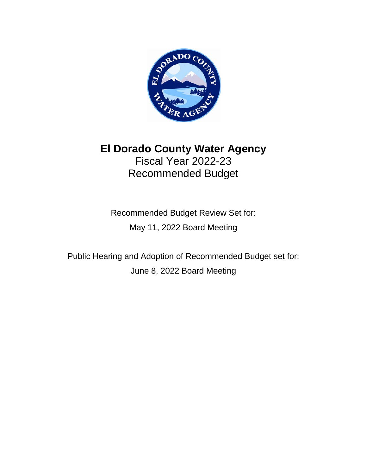

# **El Dorado County Water Agency** Fiscal Year 2022-23 Recommended Budget

Recommended Budget Review Set for: May 11, 2022 Board Meeting

Public Hearing and Adoption of Recommended Budget set for: June 8, 2022 Board Meeting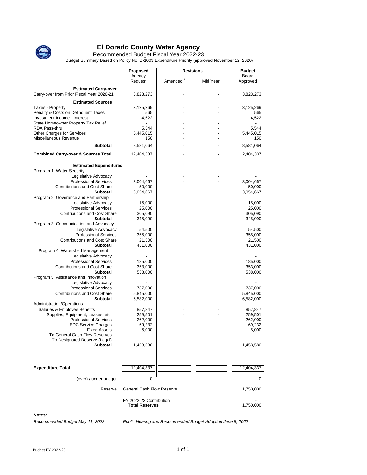

Recommended Budget Fiscal Year 2022-23

Budget Summary Based on Policy No. B-1003 Expenditure Priority (approved November 12, 2020)

| Amended <sup>1</sup><br>Request<br>Mid Year<br>Approved<br><b>Estimated Carry-over</b><br>Carry-over from Prior Fiscal Year 2020-21<br>3,823,273<br>3,823,273<br><b>Estimated Sources</b><br><b>Taxes - Property</b><br>3,125,269<br>3,125,269<br>Penalty & Costs on Delinquent Taxes<br>565<br>565<br>Investment Income - Interest<br>4,522<br>4,522<br>State Homeowner Property Tax Relief<br>RDA Pass-thru<br>5,544<br>5,544<br>Other Charges for Services<br>5,445,015<br>5,445,015<br>Miscellaneous Revenue<br>150<br>150<br><b>Subtotal</b><br>8,581,064<br>8,581,064<br>$\overline{\phantom{a}}$<br>$\frac{1}{2}$<br><b>Combined Carry-over &amp; Sources Total</b><br>12,404,337<br>12,404,337<br><b>Estimated Expenditures</b><br>Program 1: Water Security<br>Legislative Advocacy<br><b>Professional Services</b><br>3,004,667<br>3,004,667<br><b>Contributions and Cost Share</b><br>50,000<br>50,000<br>3,054,667<br>3,054,667<br>Subtotal<br>Program 2: Goverance and Partnership<br>Legislative Advocacy<br>15,000<br>15,000<br><b>Professional Services</b><br>25,000<br>25,000<br><b>Contributions and Cost Share</b><br>305,090<br>305,090<br><b>Subtotal</b><br>345,090<br>345,090<br>Program 3: Communication and Advocacy<br>Legislative Advocacy<br>54,500<br>54,500<br><b>Professional Services</b><br>355,000<br>355,000<br><b>Contributions and Cost Share</b><br>21,500<br>21,500<br>Subtotal<br>431,000<br>431,000<br>Program 4: Watershed Management<br>Legislative Advocacy<br><b>Professional Services</b><br>185,000<br>185,000<br><b>Contributions and Cost Share</b><br>353,000<br>353,000<br><b>Subtotal</b><br>538,000<br>538,000<br>Program 5: Assistance and Innovation<br>Legislative Advocacy<br><b>Professional Services</b><br>737,000<br>737,000<br><b>Contributions and Cost Share</b><br>5,845,000<br>5,845,000<br><b>Subtotal</b><br>6,582,000<br>6,582,000<br>Administration/Operations<br>Salaries & Employee Benefits<br>857,847<br>857,847<br>Supplies, Equipment, Leases, etc.<br>259,501<br>259,501<br><b>Professional Services</b><br>262,000<br>262,000<br><b>EDC Service Charges</b><br>69,232<br>69,232<br><b>Fixed Assets</b><br>5,000<br>5,000<br>To General Cash Flow Reserves<br>To Designated Reserve (Legal)<br><b>Subtotal</b><br>1,453,580<br>1,453,580<br><b>Expenditure Total</b><br>12,404,337<br>12,404,337<br>0<br>(over) / under budget<br>0<br><b>General Cash Flow Reserve</b><br>1,750,000<br>Reserve<br>FY 2022-23 Contribution<br><b>Total Reserves</b><br>1,750,000 | Proposed | <b>Revisions</b> | <b>Budget</b> |
|------------------------------------------------------------------------------------------------------------------------------------------------------------------------------------------------------------------------------------------------------------------------------------------------------------------------------------------------------------------------------------------------------------------------------------------------------------------------------------------------------------------------------------------------------------------------------------------------------------------------------------------------------------------------------------------------------------------------------------------------------------------------------------------------------------------------------------------------------------------------------------------------------------------------------------------------------------------------------------------------------------------------------------------------------------------------------------------------------------------------------------------------------------------------------------------------------------------------------------------------------------------------------------------------------------------------------------------------------------------------------------------------------------------------------------------------------------------------------------------------------------------------------------------------------------------------------------------------------------------------------------------------------------------------------------------------------------------------------------------------------------------------------------------------------------------------------------------------------------------------------------------------------------------------------------------------------------------------------------------------------------------------------------------------------------------------------------------------------------------------------------------------------------------------------------------------------------------------------------------------------------------------------------------------------------------------------------------------------------------------------------------------------------------------------------------------------------------------------------------------------------------------------------------------|----------|------------------|---------------|
|                                                                                                                                                                                                                                                                                                                                                                                                                                                                                                                                                                                                                                                                                                                                                                                                                                                                                                                                                                                                                                                                                                                                                                                                                                                                                                                                                                                                                                                                                                                                                                                                                                                                                                                                                                                                                                                                                                                                                                                                                                                                                                                                                                                                                                                                                                                                                                                                                                                                                                                                                | Agency   |                  | Board         |
|                                                                                                                                                                                                                                                                                                                                                                                                                                                                                                                                                                                                                                                                                                                                                                                                                                                                                                                                                                                                                                                                                                                                                                                                                                                                                                                                                                                                                                                                                                                                                                                                                                                                                                                                                                                                                                                                                                                                                                                                                                                                                                                                                                                                                                                                                                                                                                                                                                                                                                                                                |          |                  |               |
|                                                                                                                                                                                                                                                                                                                                                                                                                                                                                                                                                                                                                                                                                                                                                                                                                                                                                                                                                                                                                                                                                                                                                                                                                                                                                                                                                                                                                                                                                                                                                                                                                                                                                                                                                                                                                                                                                                                                                                                                                                                                                                                                                                                                                                                                                                                                                                                                                                                                                                                                                |          |                  |               |
|                                                                                                                                                                                                                                                                                                                                                                                                                                                                                                                                                                                                                                                                                                                                                                                                                                                                                                                                                                                                                                                                                                                                                                                                                                                                                                                                                                                                                                                                                                                                                                                                                                                                                                                                                                                                                                                                                                                                                                                                                                                                                                                                                                                                                                                                                                                                                                                                                                                                                                                                                |          |                  |               |
|                                                                                                                                                                                                                                                                                                                                                                                                                                                                                                                                                                                                                                                                                                                                                                                                                                                                                                                                                                                                                                                                                                                                                                                                                                                                                                                                                                                                                                                                                                                                                                                                                                                                                                                                                                                                                                                                                                                                                                                                                                                                                                                                                                                                                                                                                                                                                                                                                                                                                                                                                |          |                  |               |
|                                                                                                                                                                                                                                                                                                                                                                                                                                                                                                                                                                                                                                                                                                                                                                                                                                                                                                                                                                                                                                                                                                                                                                                                                                                                                                                                                                                                                                                                                                                                                                                                                                                                                                                                                                                                                                                                                                                                                                                                                                                                                                                                                                                                                                                                                                                                                                                                                                                                                                                                                |          |                  |               |
|                                                                                                                                                                                                                                                                                                                                                                                                                                                                                                                                                                                                                                                                                                                                                                                                                                                                                                                                                                                                                                                                                                                                                                                                                                                                                                                                                                                                                                                                                                                                                                                                                                                                                                                                                                                                                                                                                                                                                                                                                                                                                                                                                                                                                                                                                                                                                                                                                                                                                                                                                |          |                  |               |
|                                                                                                                                                                                                                                                                                                                                                                                                                                                                                                                                                                                                                                                                                                                                                                                                                                                                                                                                                                                                                                                                                                                                                                                                                                                                                                                                                                                                                                                                                                                                                                                                                                                                                                                                                                                                                                                                                                                                                                                                                                                                                                                                                                                                                                                                                                                                                                                                                                                                                                                                                |          |                  |               |
|                                                                                                                                                                                                                                                                                                                                                                                                                                                                                                                                                                                                                                                                                                                                                                                                                                                                                                                                                                                                                                                                                                                                                                                                                                                                                                                                                                                                                                                                                                                                                                                                                                                                                                                                                                                                                                                                                                                                                                                                                                                                                                                                                                                                                                                                                                                                                                                                                                                                                                                                                |          |                  |               |
|                                                                                                                                                                                                                                                                                                                                                                                                                                                                                                                                                                                                                                                                                                                                                                                                                                                                                                                                                                                                                                                                                                                                                                                                                                                                                                                                                                                                                                                                                                                                                                                                                                                                                                                                                                                                                                                                                                                                                                                                                                                                                                                                                                                                                                                                                                                                                                                                                                                                                                                                                |          |                  |               |
|                                                                                                                                                                                                                                                                                                                                                                                                                                                                                                                                                                                                                                                                                                                                                                                                                                                                                                                                                                                                                                                                                                                                                                                                                                                                                                                                                                                                                                                                                                                                                                                                                                                                                                                                                                                                                                                                                                                                                                                                                                                                                                                                                                                                                                                                                                                                                                                                                                                                                                                                                |          |                  |               |
|                                                                                                                                                                                                                                                                                                                                                                                                                                                                                                                                                                                                                                                                                                                                                                                                                                                                                                                                                                                                                                                                                                                                                                                                                                                                                                                                                                                                                                                                                                                                                                                                                                                                                                                                                                                                                                                                                                                                                                                                                                                                                                                                                                                                                                                                                                                                                                                                                                                                                                                                                |          |                  |               |
|                                                                                                                                                                                                                                                                                                                                                                                                                                                                                                                                                                                                                                                                                                                                                                                                                                                                                                                                                                                                                                                                                                                                                                                                                                                                                                                                                                                                                                                                                                                                                                                                                                                                                                                                                                                                                                                                                                                                                                                                                                                                                                                                                                                                                                                                                                                                                                                                                                                                                                                                                |          |                  |               |
|                                                                                                                                                                                                                                                                                                                                                                                                                                                                                                                                                                                                                                                                                                                                                                                                                                                                                                                                                                                                                                                                                                                                                                                                                                                                                                                                                                                                                                                                                                                                                                                                                                                                                                                                                                                                                                                                                                                                                                                                                                                                                                                                                                                                                                                                                                                                                                                                                                                                                                                                                |          |                  |               |
|                                                                                                                                                                                                                                                                                                                                                                                                                                                                                                                                                                                                                                                                                                                                                                                                                                                                                                                                                                                                                                                                                                                                                                                                                                                                                                                                                                                                                                                                                                                                                                                                                                                                                                                                                                                                                                                                                                                                                                                                                                                                                                                                                                                                                                                                                                                                                                                                                                                                                                                                                |          |                  |               |
|                                                                                                                                                                                                                                                                                                                                                                                                                                                                                                                                                                                                                                                                                                                                                                                                                                                                                                                                                                                                                                                                                                                                                                                                                                                                                                                                                                                                                                                                                                                                                                                                                                                                                                                                                                                                                                                                                                                                                                                                                                                                                                                                                                                                                                                                                                                                                                                                                                                                                                                                                |          |                  |               |
|                                                                                                                                                                                                                                                                                                                                                                                                                                                                                                                                                                                                                                                                                                                                                                                                                                                                                                                                                                                                                                                                                                                                                                                                                                                                                                                                                                                                                                                                                                                                                                                                                                                                                                                                                                                                                                                                                                                                                                                                                                                                                                                                                                                                                                                                                                                                                                                                                                                                                                                                                |          |                  |               |
|                                                                                                                                                                                                                                                                                                                                                                                                                                                                                                                                                                                                                                                                                                                                                                                                                                                                                                                                                                                                                                                                                                                                                                                                                                                                                                                                                                                                                                                                                                                                                                                                                                                                                                                                                                                                                                                                                                                                                                                                                                                                                                                                                                                                                                                                                                                                                                                                                                                                                                                                                |          |                  |               |
|                                                                                                                                                                                                                                                                                                                                                                                                                                                                                                                                                                                                                                                                                                                                                                                                                                                                                                                                                                                                                                                                                                                                                                                                                                                                                                                                                                                                                                                                                                                                                                                                                                                                                                                                                                                                                                                                                                                                                                                                                                                                                                                                                                                                                                                                                                                                                                                                                                                                                                                                                |          |                  |               |
|                                                                                                                                                                                                                                                                                                                                                                                                                                                                                                                                                                                                                                                                                                                                                                                                                                                                                                                                                                                                                                                                                                                                                                                                                                                                                                                                                                                                                                                                                                                                                                                                                                                                                                                                                                                                                                                                                                                                                                                                                                                                                                                                                                                                                                                                                                                                                                                                                                                                                                                                                |          |                  |               |
|                                                                                                                                                                                                                                                                                                                                                                                                                                                                                                                                                                                                                                                                                                                                                                                                                                                                                                                                                                                                                                                                                                                                                                                                                                                                                                                                                                                                                                                                                                                                                                                                                                                                                                                                                                                                                                                                                                                                                                                                                                                                                                                                                                                                                                                                                                                                                                                                                                                                                                                                                |          |                  |               |
|                                                                                                                                                                                                                                                                                                                                                                                                                                                                                                                                                                                                                                                                                                                                                                                                                                                                                                                                                                                                                                                                                                                                                                                                                                                                                                                                                                                                                                                                                                                                                                                                                                                                                                                                                                                                                                                                                                                                                                                                                                                                                                                                                                                                                                                                                                                                                                                                                                                                                                                                                |          |                  |               |
|                                                                                                                                                                                                                                                                                                                                                                                                                                                                                                                                                                                                                                                                                                                                                                                                                                                                                                                                                                                                                                                                                                                                                                                                                                                                                                                                                                                                                                                                                                                                                                                                                                                                                                                                                                                                                                                                                                                                                                                                                                                                                                                                                                                                                                                                                                                                                                                                                                                                                                                                                |          |                  |               |
|                                                                                                                                                                                                                                                                                                                                                                                                                                                                                                                                                                                                                                                                                                                                                                                                                                                                                                                                                                                                                                                                                                                                                                                                                                                                                                                                                                                                                                                                                                                                                                                                                                                                                                                                                                                                                                                                                                                                                                                                                                                                                                                                                                                                                                                                                                                                                                                                                                                                                                                                                |          |                  |               |
|                                                                                                                                                                                                                                                                                                                                                                                                                                                                                                                                                                                                                                                                                                                                                                                                                                                                                                                                                                                                                                                                                                                                                                                                                                                                                                                                                                                                                                                                                                                                                                                                                                                                                                                                                                                                                                                                                                                                                                                                                                                                                                                                                                                                                                                                                                                                                                                                                                                                                                                                                |          |                  |               |
|                                                                                                                                                                                                                                                                                                                                                                                                                                                                                                                                                                                                                                                                                                                                                                                                                                                                                                                                                                                                                                                                                                                                                                                                                                                                                                                                                                                                                                                                                                                                                                                                                                                                                                                                                                                                                                                                                                                                                                                                                                                                                                                                                                                                                                                                                                                                                                                                                                                                                                                                                |          |                  |               |
|                                                                                                                                                                                                                                                                                                                                                                                                                                                                                                                                                                                                                                                                                                                                                                                                                                                                                                                                                                                                                                                                                                                                                                                                                                                                                                                                                                                                                                                                                                                                                                                                                                                                                                                                                                                                                                                                                                                                                                                                                                                                                                                                                                                                                                                                                                                                                                                                                                                                                                                                                |          |                  |               |
|                                                                                                                                                                                                                                                                                                                                                                                                                                                                                                                                                                                                                                                                                                                                                                                                                                                                                                                                                                                                                                                                                                                                                                                                                                                                                                                                                                                                                                                                                                                                                                                                                                                                                                                                                                                                                                                                                                                                                                                                                                                                                                                                                                                                                                                                                                                                                                                                                                                                                                                                                |          |                  |               |
|                                                                                                                                                                                                                                                                                                                                                                                                                                                                                                                                                                                                                                                                                                                                                                                                                                                                                                                                                                                                                                                                                                                                                                                                                                                                                                                                                                                                                                                                                                                                                                                                                                                                                                                                                                                                                                                                                                                                                                                                                                                                                                                                                                                                                                                                                                                                                                                                                                                                                                                                                |          |                  |               |
|                                                                                                                                                                                                                                                                                                                                                                                                                                                                                                                                                                                                                                                                                                                                                                                                                                                                                                                                                                                                                                                                                                                                                                                                                                                                                                                                                                                                                                                                                                                                                                                                                                                                                                                                                                                                                                                                                                                                                                                                                                                                                                                                                                                                                                                                                                                                                                                                                                                                                                                                                |          |                  |               |
|                                                                                                                                                                                                                                                                                                                                                                                                                                                                                                                                                                                                                                                                                                                                                                                                                                                                                                                                                                                                                                                                                                                                                                                                                                                                                                                                                                                                                                                                                                                                                                                                                                                                                                                                                                                                                                                                                                                                                                                                                                                                                                                                                                                                                                                                                                                                                                                                                                                                                                                                                |          |                  |               |
|                                                                                                                                                                                                                                                                                                                                                                                                                                                                                                                                                                                                                                                                                                                                                                                                                                                                                                                                                                                                                                                                                                                                                                                                                                                                                                                                                                                                                                                                                                                                                                                                                                                                                                                                                                                                                                                                                                                                                                                                                                                                                                                                                                                                                                                                                                                                                                                                                                                                                                                                                |          |                  |               |
|                                                                                                                                                                                                                                                                                                                                                                                                                                                                                                                                                                                                                                                                                                                                                                                                                                                                                                                                                                                                                                                                                                                                                                                                                                                                                                                                                                                                                                                                                                                                                                                                                                                                                                                                                                                                                                                                                                                                                                                                                                                                                                                                                                                                                                                                                                                                                                                                                                                                                                                                                |          |                  |               |
|                                                                                                                                                                                                                                                                                                                                                                                                                                                                                                                                                                                                                                                                                                                                                                                                                                                                                                                                                                                                                                                                                                                                                                                                                                                                                                                                                                                                                                                                                                                                                                                                                                                                                                                                                                                                                                                                                                                                                                                                                                                                                                                                                                                                                                                                                                                                                                                                                                                                                                                                                |          |                  |               |
|                                                                                                                                                                                                                                                                                                                                                                                                                                                                                                                                                                                                                                                                                                                                                                                                                                                                                                                                                                                                                                                                                                                                                                                                                                                                                                                                                                                                                                                                                                                                                                                                                                                                                                                                                                                                                                                                                                                                                                                                                                                                                                                                                                                                                                                                                                                                                                                                                                                                                                                                                |          |                  |               |
|                                                                                                                                                                                                                                                                                                                                                                                                                                                                                                                                                                                                                                                                                                                                                                                                                                                                                                                                                                                                                                                                                                                                                                                                                                                                                                                                                                                                                                                                                                                                                                                                                                                                                                                                                                                                                                                                                                                                                                                                                                                                                                                                                                                                                                                                                                                                                                                                                                                                                                                                                |          |                  |               |
|                                                                                                                                                                                                                                                                                                                                                                                                                                                                                                                                                                                                                                                                                                                                                                                                                                                                                                                                                                                                                                                                                                                                                                                                                                                                                                                                                                                                                                                                                                                                                                                                                                                                                                                                                                                                                                                                                                                                                                                                                                                                                                                                                                                                                                                                                                                                                                                                                                                                                                                                                |          |                  |               |
|                                                                                                                                                                                                                                                                                                                                                                                                                                                                                                                                                                                                                                                                                                                                                                                                                                                                                                                                                                                                                                                                                                                                                                                                                                                                                                                                                                                                                                                                                                                                                                                                                                                                                                                                                                                                                                                                                                                                                                                                                                                                                                                                                                                                                                                                                                                                                                                                                                                                                                                                                |          |                  |               |
|                                                                                                                                                                                                                                                                                                                                                                                                                                                                                                                                                                                                                                                                                                                                                                                                                                                                                                                                                                                                                                                                                                                                                                                                                                                                                                                                                                                                                                                                                                                                                                                                                                                                                                                                                                                                                                                                                                                                                                                                                                                                                                                                                                                                                                                                                                                                                                                                                                                                                                                                                |          |                  |               |
|                                                                                                                                                                                                                                                                                                                                                                                                                                                                                                                                                                                                                                                                                                                                                                                                                                                                                                                                                                                                                                                                                                                                                                                                                                                                                                                                                                                                                                                                                                                                                                                                                                                                                                                                                                                                                                                                                                                                                                                                                                                                                                                                                                                                                                                                                                                                                                                                                                                                                                                                                |          |                  |               |
|                                                                                                                                                                                                                                                                                                                                                                                                                                                                                                                                                                                                                                                                                                                                                                                                                                                                                                                                                                                                                                                                                                                                                                                                                                                                                                                                                                                                                                                                                                                                                                                                                                                                                                                                                                                                                                                                                                                                                                                                                                                                                                                                                                                                                                                                                                                                                                                                                                                                                                                                                |          |                  |               |
|                                                                                                                                                                                                                                                                                                                                                                                                                                                                                                                                                                                                                                                                                                                                                                                                                                                                                                                                                                                                                                                                                                                                                                                                                                                                                                                                                                                                                                                                                                                                                                                                                                                                                                                                                                                                                                                                                                                                                                                                                                                                                                                                                                                                                                                                                                                                                                                                                                                                                                                                                |          |                  |               |
|                                                                                                                                                                                                                                                                                                                                                                                                                                                                                                                                                                                                                                                                                                                                                                                                                                                                                                                                                                                                                                                                                                                                                                                                                                                                                                                                                                                                                                                                                                                                                                                                                                                                                                                                                                                                                                                                                                                                                                                                                                                                                                                                                                                                                                                                                                                                                                                                                                                                                                                                                |          |                  |               |
|                                                                                                                                                                                                                                                                                                                                                                                                                                                                                                                                                                                                                                                                                                                                                                                                                                                                                                                                                                                                                                                                                                                                                                                                                                                                                                                                                                                                                                                                                                                                                                                                                                                                                                                                                                                                                                                                                                                                                                                                                                                                                                                                                                                                                                                                                                                                                                                                                                                                                                                                                |          |                  |               |
|                                                                                                                                                                                                                                                                                                                                                                                                                                                                                                                                                                                                                                                                                                                                                                                                                                                                                                                                                                                                                                                                                                                                                                                                                                                                                                                                                                                                                                                                                                                                                                                                                                                                                                                                                                                                                                                                                                                                                                                                                                                                                                                                                                                                                                                                                                                                                                                                                                                                                                                                                |          |                  |               |
|                                                                                                                                                                                                                                                                                                                                                                                                                                                                                                                                                                                                                                                                                                                                                                                                                                                                                                                                                                                                                                                                                                                                                                                                                                                                                                                                                                                                                                                                                                                                                                                                                                                                                                                                                                                                                                                                                                                                                                                                                                                                                                                                                                                                                                                                                                                                                                                                                                                                                                                                                |          |                  |               |
|                                                                                                                                                                                                                                                                                                                                                                                                                                                                                                                                                                                                                                                                                                                                                                                                                                                                                                                                                                                                                                                                                                                                                                                                                                                                                                                                                                                                                                                                                                                                                                                                                                                                                                                                                                                                                                                                                                                                                                                                                                                                                                                                                                                                                                                                                                                                                                                                                                                                                                                                                |          |                  |               |
|                                                                                                                                                                                                                                                                                                                                                                                                                                                                                                                                                                                                                                                                                                                                                                                                                                                                                                                                                                                                                                                                                                                                                                                                                                                                                                                                                                                                                                                                                                                                                                                                                                                                                                                                                                                                                                                                                                                                                                                                                                                                                                                                                                                                                                                                                                                                                                                                                                                                                                                                                |          |                  |               |
|                                                                                                                                                                                                                                                                                                                                                                                                                                                                                                                                                                                                                                                                                                                                                                                                                                                                                                                                                                                                                                                                                                                                                                                                                                                                                                                                                                                                                                                                                                                                                                                                                                                                                                                                                                                                                                                                                                                                                                                                                                                                                                                                                                                                                                                                                                                                                                                                                                                                                                                                                |          |                  |               |
|                                                                                                                                                                                                                                                                                                                                                                                                                                                                                                                                                                                                                                                                                                                                                                                                                                                                                                                                                                                                                                                                                                                                                                                                                                                                                                                                                                                                                                                                                                                                                                                                                                                                                                                                                                                                                                                                                                                                                                                                                                                                                                                                                                                                                                                                                                                                                                                                                                                                                                                                                |          |                  |               |
|                                                                                                                                                                                                                                                                                                                                                                                                                                                                                                                                                                                                                                                                                                                                                                                                                                                                                                                                                                                                                                                                                                                                                                                                                                                                                                                                                                                                                                                                                                                                                                                                                                                                                                                                                                                                                                                                                                                                                                                                                                                                                                                                                                                                                                                                                                                                                                                                                                                                                                                                                |          |                  |               |

#### **Notes:**

*Recommended Budget May 11, 2022 Public Hearing and Recommended Budget Adoption June 8, 2022*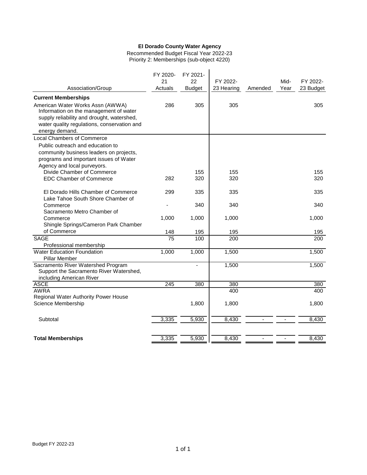Recommended Budget Fiscal Year 2022-23 Priority 2: Memberships (sub-object 4220)

| Association/Group                                                                                                                                                                         | FY 2020-<br>21<br>Actuals | FY 2021-<br>22<br><b>Budget</b> | FY 2022-<br>23 Hearing | Amended | Mid-<br>Year | FY 2022-<br>23 Budget |
|-------------------------------------------------------------------------------------------------------------------------------------------------------------------------------------------|---------------------------|---------------------------------|------------------------|---------|--------------|-----------------------|
| <b>Current Memberships</b>                                                                                                                                                                |                           |                                 |                        |         |              |                       |
| American Water Works Assn (AWWA)<br>Information on the management of water<br>supply reliability and drought, watershed,<br>water quality regulations, conservation and<br>energy demand. | 286                       | 305                             | 305                    |         |              | 305                   |
| <b>Local Chambers of Commerce</b>                                                                                                                                                         |                           |                                 |                        |         |              |                       |
| Public outreach and education to<br>community business leaders on projects,<br>programs and important issues of Water<br>Agency and local purveyors.                                      |                           |                                 |                        |         |              |                       |
| Divide Chamber of Commerce                                                                                                                                                                |                           | 155                             | 155                    |         |              | 155                   |
| <b>EDC Chamber of Commerce</b>                                                                                                                                                            | 282                       | 320                             | 320                    |         |              | 320                   |
| El Dorado Hills Chamber of Commerce<br>Lake Tahoe South Shore Chamber of                                                                                                                  | 299                       | 335                             | 335                    |         |              | 335                   |
| Commerce<br>Sacramento Metro Chamber of                                                                                                                                                   |                           | 340                             | 340                    |         |              | 340                   |
| Commerce<br>Shingle Springs/Cameron Park Chamber                                                                                                                                          | 1,000                     | 1,000                           | 1,000                  |         |              | 1,000                 |
| of Commerce                                                                                                                                                                               | 148                       | 195                             | 195                    |         |              | 195                   |
| <b>SAGE</b>                                                                                                                                                                               | $\overline{75}$           | 100                             | 200                    |         |              | 200                   |
| Professional membership                                                                                                                                                                   |                           |                                 |                        |         |              |                       |
| <b>Water Education Foundation</b><br>Pillar Member                                                                                                                                        | 1,000                     | 1,000                           | 1,500                  |         |              | 1,500                 |
| Sacramento River Watershed Program<br>Support the Sacramento River Watershed,<br>including American River                                                                                 |                           |                                 | 1,500                  |         |              | 1,500                 |
| <b>ASCE</b>                                                                                                                                                                               | 245                       | 380                             | 380                    |         |              | 380                   |
| AWRA                                                                                                                                                                                      |                           |                                 | 400                    |         |              | 400                   |
| Regional Water Authority Power House                                                                                                                                                      |                           |                                 |                        |         |              |                       |
| Science Membership                                                                                                                                                                        |                           | 1,800                           | 1,800                  |         |              | 1,800                 |
| Subtotal                                                                                                                                                                                  | 3,335                     | 5,930                           | 8,430                  |         |              | 8,430                 |
| <b>Total Memberships</b>                                                                                                                                                                  | 3,335                     | 5,930                           | 8,430                  |         |              | 8,430                 |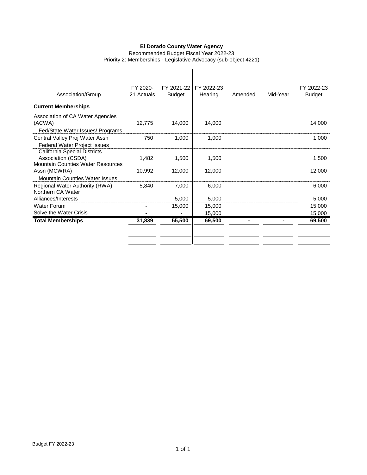Recommended Budget Fiscal Year 2022-23 Priority 2: Memberships - Legislative Advocacy (sub-object 4221)

 $\overline{\phantom{a}}$ 

| Association/Group                                              | FY 2020-<br>21 Actuals | FY 2021-22<br><b>Budget</b> | FY 2022-23<br>Hearing | Amended | Mid-Year | FY 2022-23<br><b>Budget</b> |
|----------------------------------------------------------------|------------------------|-----------------------------|-----------------------|---------|----------|-----------------------------|
| <b>Current Memberships</b>                                     |                        |                             |                       |         |          |                             |
| Association of CA Water Agencies                               |                        |                             |                       |         |          |                             |
| (ACWA)                                                         | 12,775                 | 14,000                      | 14.000                |         |          | 14.000                      |
| Fed/State Water Issues/ Programs                               |                        |                             |                       |         |          |                             |
| Central Valley Proj Water Assn                                 | 750                    | 1.000                       | 1.000                 |         |          | 1.000                       |
| <b>Federal Water Project Issues</b>                            |                        |                             |                       |         |          |                             |
| <b>California Special Districts</b>                            |                        |                             |                       |         |          |                             |
| Association (CSDA)<br><b>Mountain Counties Water Resources</b> | 1.482                  | 1,500                       | 1.500                 |         |          | 1.500                       |
| Assn (MCWRA)                                                   | 10,992                 | 12,000                      | 12,000                |         |          | 12,000                      |
| <b>Mountain Counties Water Issues</b>                          |                        |                             |                       |         |          |                             |
| Regional Water Authority (RWA)                                 | 5.840                  | 7.000                       | 6.000                 |         |          | 6.000                       |
| Northern CA Water                                              |                        |                             |                       |         |          |                             |
| Alliances/Interests                                            |                        | 5.000                       | 5.000                 |         |          | 5,000                       |
| <b>Water Forum</b>                                             |                        | 15,000                      | 15,000                |         |          | 15,000                      |
| Solve the Water Crisis                                         |                        |                             | 15,000                |         |          | 15,000                      |
| <b>Total Memberships</b>                                       | 31,839                 | 55,500                      | 69,500                |         |          | 69,500                      |
|                                                                |                        |                             |                       |         |          |                             |
|                                                                |                        |                             |                       |         |          |                             |
|                                                                |                        |                             |                       |         |          |                             |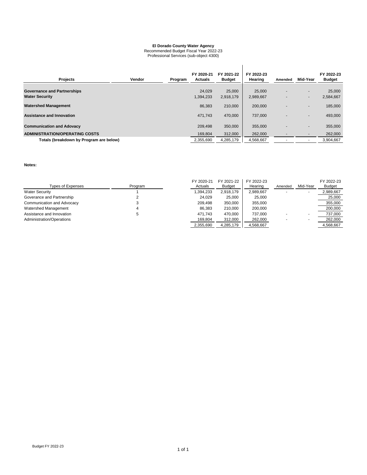Recommended Budget Fiscal Year 2022-23 Professional Services (sub-object 4300)

| <b>Projects</b>                                             | Vendor | Program | FY 2020-21<br><b>Actuals</b> | FY 2021-22<br><b>Budget</b> | FY 2022-23<br>Hearing | Amended | Mid-Year | FY 2022-23<br><b>Budget</b> |
|-------------------------------------------------------------|--------|---------|------------------------------|-----------------------------|-----------------------|---------|----------|-----------------------------|
| <b>Governance and Partnerships</b><br><b>Water Security</b> |        |         | 24.029<br>1.394.233          | 25,000<br>2.918.179         | 25,000<br>2,989,667   |         | ۰.<br>۰  | 25,000<br>2,584,667         |
| <b>Watershed Management</b>                                 |        |         | 86,383                       | 210,000                     | 200,000               |         | ۰.       | 185,000                     |
| <b>Assistance and Innovation</b>                            |        |         | 471,743                      | 470,000                     | 737,000               |         | ۰.       | 493,000                     |
| <b>Communication and Adovacy</b>                            |        |         | 209.498                      | 350,000                     | 355,000               |         | ۰.       | 355,000                     |
| <b>ADMINISTRATION/OPERATING COSTS</b>                       |        |         | 169.804                      | 312,000                     | 262,000               |         |          | 262,000                     |
| Totals (breakdown by Program are below)                     |        |         | 2,355,690                    | 4,285,179                   | 4,568,667             |         |          | 3.904.667                   |

**Notes:**

| Types of Expenses          | Program | FY 2020-21<br>Actuals | FY 2021-22<br><b>Budget</b> | FY 2022-23<br>Hearing | Amended | Mid-Year | FY 2022-23<br>Budget |
|----------------------------|---------|-----------------------|-----------------------------|-----------------------|---------|----------|----------------------|
| <b>Water Security</b>      |         | .394.233              | 2.918.179                   | 2.989.667             |         |          | 2,989,667            |
| Goverance and Partnership  |         | 24.029                | 25,000                      | 25,000                |         |          | 25,000               |
| Communication and Advocacy | J       | 209.498               | 350.000                     | 355.000               |         |          | 355.000              |
| Watershed Management       | 4       | 86.383                | 210,000                     | 200,000               |         |          | 200,000              |
| Assistance and Innovation  | 5       | 471.743               | 470.000                     | 737.000               |         |          | 737,000              |
| Administration/Operations  |         | 169,804               | 312,000                     | 262,000               | -       |          | 262,000              |
|                            |         | 2,355,690             | 4,285,179                   | 4,568,667             |         |          | 4.568.667            |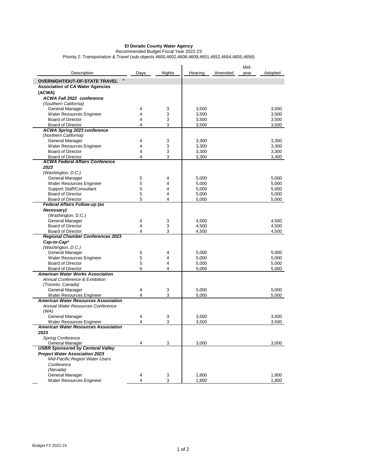Recommended Budget Fiscal Year 2022-23 Priority 2: Transportation & Travel (sub-objects 4600,4602,4608,4609,4651,4652,4654,4655,4656)

| Description                                                         | Days   | <b>Nights</b> | Hearing        | Amended | Mid-<br>year | Adopted        |
|---------------------------------------------------------------------|--------|---------------|----------------|---------|--------------|----------------|
| a<br><b>OVERNIGHT/OUT-OF-STATE TRAVEL</b>                           |        |               |                |         |              |                |
| <b>Association of CA Water Agencies</b>                             |        |               |                |         |              |                |
| (ACWA)                                                              |        |               |                |         |              |                |
| <b>ACWA Fall 2022 conference</b>                                    |        |               |                |         |              |                |
| (Southern California)                                               |        |               |                |         |              |                |
| General Manager                                                     | 4      | 3             | 3,500          |         |              | 3,500          |
| <b>Water Resources Engineer</b><br><b>Board of Director</b>         | 4<br>4 | 3<br>3        | 3,500<br>3,500 |         |              | 3,500<br>3,500 |
| <b>Board of Director</b>                                            | 4      | 3             | 3,500          |         |              | 3,500          |
| <b>ACWA Spring 2023 conference</b>                                  |        |               |                |         |              |                |
| (Northern California)                                               |        |               |                |         |              |                |
| General Manager                                                     | 4      | 3             | 3,300          |         |              | 3,300          |
| Water Resources Engineer                                            | 4      | 3             | 3,300          |         |              | 3,300          |
| <b>Board of Director</b>                                            | 4      | 3             | 3,300          |         |              | 3,300          |
| <b>Board of Director</b>                                            | 4      | 3             | 3,300          |         |              | 3,300          |
| <b>ACWA Federal Affairs Conference</b>                              |        |               |                |         |              |                |
| 2023                                                                |        |               |                |         |              |                |
| (Washington, D.C.)                                                  |        |               |                |         |              |                |
| General Manager                                                     | 5      | 4             | 5,000          |         |              | 5,000          |
| <b>Water Resources Engineer</b>                                     | 5      | 4             | 5,000          |         |              | 5,000          |
| <b>Support Staff/Consultant</b><br><b>Board of Director</b>         | 5<br>5 | 4<br>4        | 5,000<br>5,000 |         |              | 5,000<br>5,000 |
| <b>Board of Director</b>                                            | 5      | 4             | 5,000          |         |              | 5,000          |
| Federal Affairs Follow-up (as                                       |        |               |                |         |              |                |
| Necessary)                                                          |        |               |                |         |              |                |
| (Washington, D.C.)                                                  |        |               |                |         |              |                |
| General Manager                                                     | 4      | 3             | 4,500          |         |              | 4,500          |
| <b>Board of Director</b>                                            | 4      | 3             | 4,500          |         |              | 4,500          |
| <b>Board of Director</b>                                            | 4      | 3             | 4,500          |         |              | 4,500          |
| <b>Regional Chamber Conferences 2023</b>                            |        |               |                |         |              |                |
| Cap-to-Cap*                                                         |        |               |                |         |              |                |
| (Washington, D.C.)                                                  |        |               |                |         |              |                |
| General Manager                                                     | 5      | 4             | 5,000          |         |              | 5,000          |
| Water Resources Engineer                                            | 5      | 4             | 5,000          |         |              | 5,000          |
| <b>Board of Director</b>                                            | 5      | 4<br>4        | 5,000          |         |              | 5,000          |
| <b>Board of Director</b><br><b>American Water Works Association</b> | 5      |               | 5,000          |         |              | 5,000          |
| Annual Conference & Exhibition                                      |        |               |                |         |              |                |
| (Toronto, Canada)                                                   |        |               |                |         |              |                |
| General Manager                                                     | 4      | 3             | 5,000          |         |              | 5,000          |
| Water Resources Engineer                                            | 4      | 3             | 5,000          |         |              | 5,000          |
| <b>American Water Resources Association</b>                         |        |               |                |         |              |                |
| Annual Water Resources Conference                                   |        |               |                |         |              |                |
| (WA)                                                                |        |               |                |         |              |                |
| General Manager                                                     | 4      | 3             | 3,500          |         |              | 3,500          |
| Water Resources Engineer                                            | 4      | 3             | 3,500          |         |              | 3,500          |
| American Water Resources Association                                |        |               |                |         |              |                |
| 2023                                                                |        |               |                |         |              |                |
| <b>Spring Conference</b><br><b>General Manager</b>                  | 4      | 3             |                |         |              |                |
| <b>USBR Sponsored by Centeral Valley</b>                            |        |               | 3,000          |         |              | 3,000          |
| <b>Project Water Association 2023</b>                               |        |               |                |         |              |                |
| Mid-Pacific Region Water Users                                      |        |               |                |         |              |                |
| Conference                                                          |        |               |                |         |              |                |
| (Nevada)                                                            |        |               |                |         |              |                |
| General Manager                                                     | 4      | 3             | 1,800          |         |              | 1,800          |
| Water Resources Engineer                                            | 4      | 3             | 1,800          |         |              | 1,800          |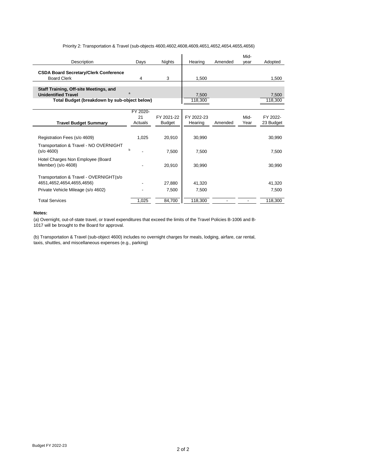#### Priority 2: Transportation & Travel (sub-objects 4600,4602,4608,4609,4651,4652,4654,4655,4656)

| Description                                                                                                          | Days                      | <b>Nights</b>               | Hearing               | Amended | Mid-<br>vear | Adopted               |
|----------------------------------------------------------------------------------------------------------------------|---------------------------|-----------------------------|-----------------------|---------|--------------|-----------------------|
| <b>CSDA Board Secretary/Clerk Conference</b><br><b>Board Clerk</b>                                                   | 4                         | 3                           | 1.500                 |         |              | 1.500                 |
| Staff Training, Off-site Meetings, and<br><b>Unidentified Travel</b><br>Total Budget (breakdown by sub-object below) | a                         |                             | 7,500<br>118,300      |         |              | 7,500<br>118,300      |
| <b>Travel Budget Summary</b>                                                                                         | FY 2020-<br>21<br>Actuals | FY 2021-22<br><b>Budget</b> | FY 2022-23<br>Hearing | Amended | Mid-<br>Year | FY 2022-<br>23 Budget |
| Registration Fees (s/o 4609)                                                                                         | 1,025                     | 20,910                      | 30,990                |         |              | 30,990                |
| Transportation & Travel - NO OVERNIGHT<br>(s/o 4600)                                                                 | h                         | 7,500                       | 7,500                 |         |              | 7,500                 |
| Hotel Charges Non Employee (Board<br>Member) (s/o 4608)                                                              |                           | 20,910                      | 30.990                |         |              | 30.990                |
| Transportation & Travel - OVERNIGHT(s/o<br>4651,4652,4654,4655,4656)                                                 |                           | 27.880                      | 41,320                |         |              | 41,320                |
| Private Vehicle Mileage (s/o 4602)                                                                                   |                           | 7,500                       | 7,500                 |         |              | 7,500                 |
| <b>Total Services</b>                                                                                                | 1,025                     | 84,700                      | 118,300               |         |              | 118,300               |

#### **Notes:**

(a) Overnight, out-of-state travel, or travel expenditures that exceed the limits of the Travel Policies B-1006 and B-1017 will be brought to the Board for approval.

(b) Transportation & Travel (sub-object 4600) includes no overnight charges for meals, lodging, airfare, car rental, taxis, shuttles, and miscellaneous expenses (e.g., parking)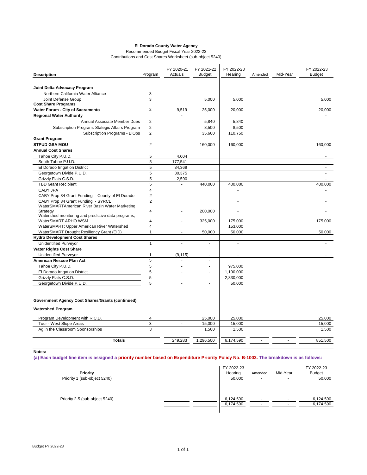Recommended Budget Fiscal Year 2022-23 Contributions and Cost Shares Worksheet (sub-object 5240)

| Joint Delta Advocacy Program<br>Northern California Water Alliance<br>3<br>3<br>Joint Defense Group<br><b>Cost Share Programs</b><br>Water Forum - City of Sacramento<br>$\overline{2}$<br><b>Regional Water Authority</b><br>$\overline{2}$<br>Annual Associate Member Dues<br>Subscription Program: Stategic Affairs Program<br>$\overline{2}$<br>Subscription Programs - BiOps<br>$\overline{2}$<br><b>Grant Program</b><br><b>STPUD GSA MOU</b><br>$\overline{2}$<br><b>Annual Cost Shares</b><br>5<br>Tahoe City P.U.D.<br>5<br>South Tahoe P.U.D.<br>5<br>El Dorado Irrigation District<br>5<br>Georgetown Divide P.U.D.<br>5<br>Grizzly Flats C.S.D.<br>5<br><b>TBD Grant Recipient</b><br>CABY JPA<br>4<br>$\overline{2}$<br>CABY Prop 84 Grant Funding - County of El Dorado<br>CABY Prop 84 Grant Funding - SYRCL<br>$\overline{2}$<br>WaterSMARTAmerican River Basin Water Marketing<br>Strategy<br>4<br>Watershed monitoring and predictive data programs;<br>WaterSMART ARHO WSM<br>4<br>WaterSMART: Upper American River Watershed<br>4<br>WaterSMART Drought Resiliency Grant (EID)<br>$\mathbf{1}$<br><b>Hydro Development Cost Shares</b><br><b>Unidentified Purveyor</b><br>$\mathbf{1}$<br><b>Water Rights Cost Share</b> | 9,519        | 5,000<br>25,000<br>5,840<br>8,500<br>35,660 | 5,000<br>20,000<br>5,840<br>8,500<br>110,750 |  | 5,000<br>20,000          |
|----------------------------------------------------------------------------------------------------------------------------------------------------------------------------------------------------------------------------------------------------------------------------------------------------------------------------------------------------------------------------------------------------------------------------------------------------------------------------------------------------------------------------------------------------------------------------------------------------------------------------------------------------------------------------------------------------------------------------------------------------------------------------------------------------------------------------------------------------------------------------------------------------------------------------------------------------------------------------------------------------------------------------------------------------------------------------------------------------------------------------------------------------------------------------------------------------------------------------------------------|--------------|---------------------------------------------|----------------------------------------------|--|--------------------------|
|                                                                                                                                                                                                                                                                                                                                                                                                                                                                                                                                                                                                                                                                                                                                                                                                                                                                                                                                                                                                                                                                                                                                                                                                                                              |              |                                             |                                              |  |                          |
|                                                                                                                                                                                                                                                                                                                                                                                                                                                                                                                                                                                                                                                                                                                                                                                                                                                                                                                                                                                                                                                                                                                                                                                                                                              |              |                                             |                                              |  |                          |
|                                                                                                                                                                                                                                                                                                                                                                                                                                                                                                                                                                                                                                                                                                                                                                                                                                                                                                                                                                                                                                                                                                                                                                                                                                              |              |                                             |                                              |  |                          |
|                                                                                                                                                                                                                                                                                                                                                                                                                                                                                                                                                                                                                                                                                                                                                                                                                                                                                                                                                                                                                                                                                                                                                                                                                                              |              |                                             |                                              |  |                          |
|                                                                                                                                                                                                                                                                                                                                                                                                                                                                                                                                                                                                                                                                                                                                                                                                                                                                                                                                                                                                                                                                                                                                                                                                                                              |              |                                             |                                              |  |                          |
|                                                                                                                                                                                                                                                                                                                                                                                                                                                                                                                                                                                                                                                                                                                                                                                                                                                                                                                                                                                                                                                                                                                                                                                                                                              |              |                                             |                                              |  |                          |
|                                                                                                                                                                                                                                                                                                                                                                                                                                                                                                                                                                                                                                                                                                                                                                                                                                                                                                                                                                                                                                                                                                                                                                                                                                              |              |                                             |                                              |  |                          |
|                                                                                                                                                                                                                                                                                                                                                                                                                                                                                                                                                                                                                                                                                                                                                                                                                                                                                                                                                                                                                                                                                                                                                                                                                                              |              |                                             |                                              |  |                          |
|                                                                                                                                                                                                                                                                                                                                                                                                                                                                                                                                                                                                                                                                                                                                                                                                                                                                                                                                                                                                                                                                                                                                                                                                                                              |              |                                             |                                              |  |                          |
|                                                                                                                                                                                                                                                                                                                                                                                                                                                                                                                                                                                                                                                                                                                                                                                                                                                                                                                                                                                                                                                                                                                                                                                                                                              |              |                                             |                                              |  |                          |
|                                                                                                                                                                                                                                                                                                                                                                                                                                                                                                                                                                                                                                                                                                                                                                                                                                                                                                                                                                                                                                                                                                                                                                                                                                              |              |                                             |                                              |  |                          |
|                                                                                                                                                                                                                                                                                                                                                                                                                                                                                                                                                                                                                                                                                                                                                                                                                                                                                                                                                                                                                                                                                                                                                                                                                                              |              | 160,000                                     | 160,000                                      |  | 160,000                  |
|                                                                                                                                                                                                                                                                                                                                                                                                                                                                                                                                                                                                                                                                                                                                                                                                                                                                                                                                                                                                                                                                                                                                                                                                                                              |              |                                             |                                              |  |                          |
|                                                                                                                                                                                                                                                                                                                                                                                                                                                                                                                                                                                                                                                                                                                                                                                                                                                                                                                                                                                                                                                                                                                                                                                                                                              | 4,004        |                                             |                                              |  |                          |
|                                                                                                                                                                                                                                                                                                                                                                                                                                                                                                                                                                                                                                                                                                                                                                                                                                                                                                                                                                                                                                                                                                                                                                                                                                              | 177,541      |                                             |                                              |  | ٠                        |
|                                                                                                                                                                                                                                                                                                                                                                                                                                                                                                                                                                                                                                                                                                                                                                                                                                                                                                                                                                                                                                                                                                                                                                                                                                              | 34,369       |                                             |                                              |  | $\overline{\phantom{a}}$ |
|                                                                                                                                                                                                                                                                                                                                                                                                                                                                                                                                                                                                                                                                                                                                                                                                                                                                                                                                                                                                                                                                                                                                                                                                                                              | 30,375       |                                             |                                              |  | ä,                       |
|                                                                                                                                                                                                                                                                                                                                                                                                                                                                                                                                                                                                                                                                                                                                                                                                                                                                                                                                                                                                                                                                                                                                                                                                                                              | 2,590        |                                             |                                              |  |                          |
|                                                                                                                                                                                                                                                                                                                                                                                                                                                                                                                                                                                                                                                                                                                                                                                                                                                                                                                                                                                                                                                                                                                                                                                                                                              |              | 440.000                                     | 400.000                                      |  | 400.000                  |
|                                                                                                                                                                                                                                                                                                                                                                                                                                                                                                                                                                                                                                                                                                                                                                                                                                                                                                                                                                                                                                                                                                                                                                                                                                              |              |                                             |                                              |  |                          |
|                                                                                                                                                                                                                                                                                                                                                                                                                                                                                                                                                                                                                                                                                                                                                                                                                                                                                                                                                                                                                                                                                                                                                                                                                                              |              |                                             |                                              |  |                          |
|                                                                                                                                                                                                                                                                                                                                                                                                                                                                                                                                                                                                                                                                                                                                                                                                                                                                                                                                                                                                                                                                                                                                                                                                                                              |              |                                             |                                              |  |                          |
|                                                                                                                                                                                                                                                                                                                                                                                                                                                                                                                                                                                                                                                                                                                                                                                                                                                                                                                                                                                                                                                                                                                                                                                                                                              |              |                                             |                                              |  |                          |
|                                                                                                                                                                                                                                                                                                                                                                                                                                                                                                                                                                                                                                                                                                                                                                                                                                                                                                                                                                                                                                                                                                                                                                                                                                              |              | 200.000                                     |                                              |  |                          |
|                                                                                                                                                                                                                                                                                                                                                                                                                                                                                                                                                                                                                                                                                                                                                                                                                                                                                                                                                                                                                                                                                                                                                                                                                                              |              | 325,000                                     | 175,000                                      |  | 175,000                  |
|                                                                                                                                                                                                                                                                                                                                                                                                                                                                                                                                                                                                                                                                                                                                                                                                                                                                                                                                                                                                                                                                                                                                                                                                                                              |              |                                             | 153,000                                      |  |                          |
|                                                                                                                                                                                                                                                                                                                                                                                                                                                                                                                                                                                                                                                                                                                                                                                                                                                                                                                                                                                                                                                                                                                                                                                                                                              |              | 50,000                                      | 50,000                                       |  | 50,000                   |
|                                                                                                                                                                                                                                                                                                                                                                                                                                                                                                                                                                                                                                                                                                                                                                                                                                                                                                                                                                                                                                                                                                                                                                                                                                              |              |                                             |                                              |  |                          |
|                                                                                                                                                                                                                                                                                                                                                                                                                                                                                                                                                                                                                                                                                                                                                                                                                                                                                                                                                                                                                                                                                                                                                                                                                                              | ä,           | ÷.                                          | $\mathbf{r}$                                 |  | ÷.                       |
|                                                                                                                                                                                                                                                                                                                                                                                                                                                                                                                                                                                                                                                                                                                                                                                                                                                                                                                                                                                                                                                                                                                                                                                                                                              |              |                                             |                                              |  |                          |
| <b>Unidentified Purveyor</b><br>1                                                                                                                                                                                                                                                                                                                                                                                                                                                                                                                                                                                                                                                                                                                                                                                                                                                                                                                                                                                                                                                                                                                                                                                                            | (9, 115)     | ÷                                           |                                              |  |                          |
| 5<br>American Rescue Plan Act                                                                                                                                                                                                                                                                                                                                                                                                                                                                                                                                                                                                                                                                                                                                                                                                                                                                                                                                                                                                                                                                                                                                                                                                                |              | $\overline{a}$                              |                                              |  |                          |
| 5<br>Tahoe City P.U.D.                                                                                                                                                                                                                                                                                                                                                                                                                                                                                                                                                                                                                                                                                                                                                                                                                                                                                                                                                                                                                                                                                                                                                                                                                       |              | ÷                                           | 975,000                                      |  |                          |
| 5<br>El Dorado Irrigation District                                                                                                                                                                                                                                                                                                                                                                                                                                                                                                                                                                                                                                                                                                                                                                                                                                                                                                                                                                                                                                                                                                                                                                                                           |              | ÷                                           | 1,190,000                                    |  |                          |
| 5<br>Grizzly Flats C.S.D.                                                                                                                                                                                                                                                                                                                                                                                                                                                                                                                                                                                                                                                                                                                                                                                                                                                                                                                                                                                                                                                                                                                                                                                                                    |              |                                             | 2,830,000                                    |  |                          |
| 5<br>Georgetown Divide P.U.D.                                                                                                                                                                                                                                                                                                                                                                                                                                                                                                                                                                                                                                                                                                                                                                                                                                                                                                                                                                                                                                                                                                                                                                                                                |              |                                             | 50,000                                       |  |                          |
|                                                                                                                                                                                                                                                                                                                                                                                                                                                                                                                                                                                                                                                                                                                                                                                                                                                                                                                                                                                                                                                                                                                                                                                                                                              |              |                                             |                                              |  |                          |
| <b>Government Agency Cost Shares/Grants (continued)</b>                                                                                                                                                                                                                                                                                                                                                                                                                                                                                                                                                                                                                                                                                                                                                                                                                                                                                                                                                                                                                                                                                                                                                                                      |              |                                             |                                              |  |                          |
| <b>Watershed Program</b>                                                                                                                                                                                                                                                                                                                                                                                                                                                                                                                                                                                                                                                                                                                                                                                                                                                                                                                                                                                                                                                                                                                                                                                                                     |              |                                             |                                              |  |                          |
| Program Development with R.C.D.<br>4                                                                                                                                                                                                                                                                                                                                                                                                                                                                                                                                                                                                                                                                                                                                                                                                                                                                                                                                                                                                                                                                                                                                                                                                         |              | 25,000                                      | 25,000                                       |  | 25,000                   |
| Tour - West Slope Areas<br>3                                                                                                                                                                                                                                                                                                                                                                                                                                                                                                                                                                                                                                                                                                                                                                                                                                                                                                                                                                                                                                                                                                                                                                                                                 | $\mathbf{r}$ | 15,000                                      | 15,000                                       |  | 15,000                   |
| Ag in the Classroom Sponsorships<br>3                                                                                                                                                                                                                                                                                                                                                                                                                                                                                                                                                                                                                                                                                                                                                                                                                                                                                                                                                                                                                                                                                                                                                                                                        |              | 1,500                                       | 1,500                                        |  | 1,500                    |
| <b>Totals</b>                                                                                                                                                                                                                                                                                                                                                                                                                                                                                                                                                                                                                                                                                                                                                                                                                                                                                                                                                                                                                                                                                                                                                                                                                                | 249,283      | 1,296,500                                   | 6,174,590                                    |  | 851,500                  |

**Notes:**

**(a) Each budget line item is assigned a priority number based on Expenditure Priority Policy No. B-1003. The breakdown is as follows:**

| Priority<br>Priority 1 (sub-object 5240) | FY 2022-23<br>Hearing<br>50,000 | Amended<br>$\overline{\phantom{a}}$ | Mid-Year<br>$\overline{\phantom{a}}$ | FY 2022-23<br><b>Budget</b><br>50,000 |
|------------------------------------------|---------------------------------|-------------------------------------|--------------------------------------|---------------------------------------|
| Priority 2-5 (sub-object 5240)           | 6,124,590<br>6,174,590          | ۰                                   |                                      | 6,124,590<br>6,174,590                |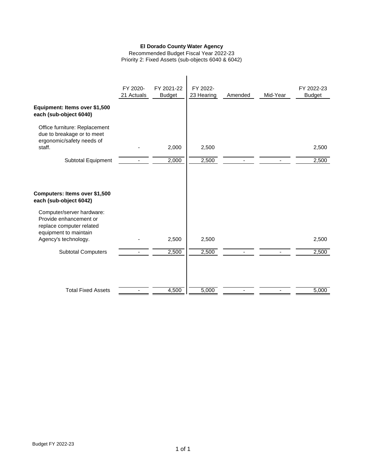Recommended Budget Fiscal Year 2022-23 Priority 2: Fixed Assets (sub-objects 6040 & 6042)

|                                                                                                          | FY 2020-<br>21 Actuals | FY 2021-22<br><b>Budget</b> | FY 2022-<br>23 Hearing | Amended | Mid-Year | FY 2022-23<br><b>Budget</b> |
|----------------------------------------------------------------------------------------------------------|------------------------|-----------------------------|------------------------|---------|----------|-----------------------------|
| Equipment: Items over \$1,500<br>each (sub-object 6040)                                                  |                        |                             |                        |         |          |                             |
| Office furniture: Replacement<br>due to breakage or to meet<br>ergonomic/safety needs of                 |                        |                             |                        |         |          |                             |
| staff.                                                                                                   |                        | 2,000                       | 2,500                  |         |          | 2,500                       |
| <b>Subtotal Equipment</b>                                                                                |                        | 2,000                       | 2,500                  |         |          | 2,500                       |
| Computers: Items over \$1,500<br>each (sub-object 6042)                                                  |                        |                             |                        |         |          |                             |
| Computer/server hardware:<br>Provide enhancement or<br>replace computer related<br>equipment to maintain |                        |                             |                        |         |          |                             |
| Agency's technology.                                                                                     |                        | 2,500                       | 2,500                  |         |          | 2,500                       |
| <b>Subtotal Computers</b>                                                                                | ٠                      | 2,500                       | 2,500                  | ٠       |          | 2,500                       |
| <b>Total Fixed Assets</b>                                                                                |                        | 4,500                       | 5,000                  |         |          | 5,000                       |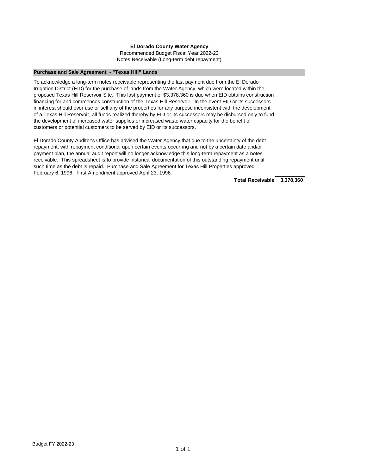#### **Purchase and Sale Agreement - "Texas Hill" Lands**

To acknowledge a long-term notes receivable representing the last payment due from the El Dorado Irrigation District (EID) for the purchase of lands from the Water Agency, which were located within the proposed Texas Hill Reservoir Site. This last payment of \$3,378,360 is due when EID obtains construction financing for and commences construction of the Texas Hill Reservoir. In the event EID or its successors in interest should ever use or sell any of the properties for any purpose inconsistent with the development of a Texas Hill Reservoir, all funds realized thereby by EID or its successors may be disbursed only to fund the development of increased water supplies or increased waste water capacity for the benefit of customers or potential customers to be served by EID or its successors.

El Dorado County Auditor's Office has advised the Water Agency that due to the uncertainty of the debt repayment, with repayment conditional upon certain events occurring and not by a certain date and/or payment plan, the annual audit report will no longer acknowledge this long-term repayment as a notes receivable. This spreadsheet is to provide historical documentation of this outstanding repayment until such time as the debt is repaid. Purchase and Sale Agreement for Texas Hill Properties approved February 6, 1996. First Amendment approved April 23, 1996.

**Total Receivable 3,378,360**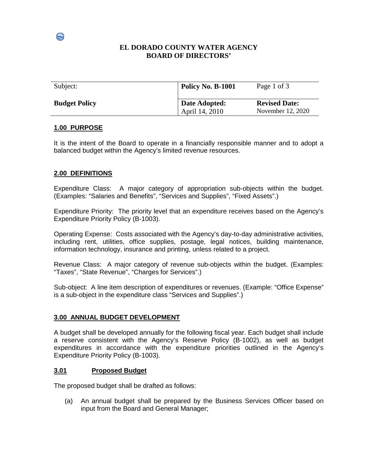# **EL DORADO COUNTY WATER AGENCY BOARD OF DIRECTORS'**

| Subject:             | Policy No. B-1001               | Page 1 of 3                               |
|----------------------|---------------------------------|-------------------------------------------|
| <b>Budget Policy</b> | Date Adopted:<br>April 14, 2010 | <b>Revised Date:</b><br>November 12, 2020 |

#### **1.00 PURPOSE**

It is the intent of the Board to operate in a financially responsible manner and to adopt a balanced budget within the Agency's limited revenue resources.

#### **2.00 DEFINITIONS**

Expenditure Class: A major category of appropriation sub-objects within the budget. (Examples: "Salaries and Benefits", "Services and Supplies", "Fixed Assets".)

Expenditure Priority: The priority level that an expenditure receives based on the Agency's Expenditure Priority Policy (B-1003).

Operating Expense: Costs associated with the Agency's day-to-day administrative activities, including rent, utilities, office supplies, postage, legal notices, building maintenance, information technology, insurance and printing, unless related to a project.

Revenue Class: A major category of revenue sub-objects within the budget. (Examples: "Taxes", "State Revenue", "Charges for Services".)

Sub-object: A line item description of expenditures or revenues. (Example: "Office Expense" is a sub-object in the expenditure class "Services and Supplies".)

#### **3.00 ANNUAL BUDGET DEVELOPMENT**

A budget shall be developed annually for the following fiscal year. Each budget shall include a reserve consistent with the Agency's Reserve Policy (B-1002), as well as budget expenditures in accordance with the expenditure priorities outlined in the Agency's Expenditure Priority Policy (B-1003).

#### **3.01 Proposed Budget**

The proposed budget shall be drafted as follows:

(a) An annual budget shall be prepared by the Business Services Officer based on input from the Board and General Manager;

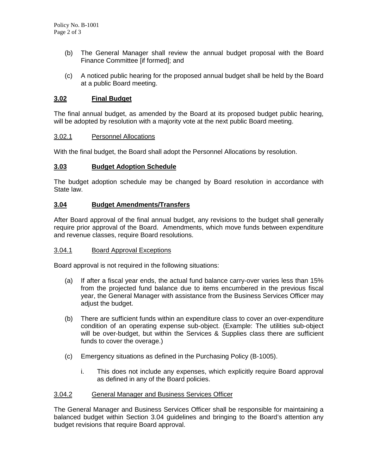- (b) The General Manager shall review the annual budget proposal with the Board Finance Committee [if formed]; and
- (c) A noticed public hearing for the proposed annual budget shall be held by the Board at a public Board meeting.

#### **3.02 Final Budget**

The final annual budget, as amended by the Board at its proposed budget public hearing, will be adopted by resolution with a majority vote at the next public Board meeting.

#### 3.02.1 Personnel Allocations

With the final budget, the Board shall adopt the Personnel Allocations by resolution.

#### **3.03 Budget Adoption Schedule**

The budget adoption schedule may be changed by Board resolution in accordance with State law.

#### **3.04 Budget Amendments/Transfers**

After Board approval of the final annual budget, any revisions to the budget shall generally require prior approval of the Board. Amendments, which move funds between expenditure and revenue classes, require Board resolutions.

### 3.04.1 Board Approval Exceptions

Board approval is not required in the following situations:

- (a) If after a fiscal year ends, the actual fund balance carry-over varies less than 15% from the projected fund balance due to items encumbered in the previous fiscal year, the General Manager with assistance from the Business Services Officer may adjust the budget.
- (b) There are sufficient funds within an expenditure class to cover an over-expenditure condition of an operating expense sub-object. (Example: The utilities sub-object will be over-budget, but within the Services & Supplies class there are sufficient funds to cover the overage.)
- (c) Emergency situations as defined in the Purchasing Policy (B-1005).
	- i. This does not include any expenses, which explicitly require Board approval as defined in any of the Board policies.

#### 3.04.2 General Manager and Business Services Officer

The General Manager and Business Services Officer shall be responsible for maintaining a balanced budget within Section 3.04 guidelines and bringing to the Board's attention any budget revisions that require Board approval.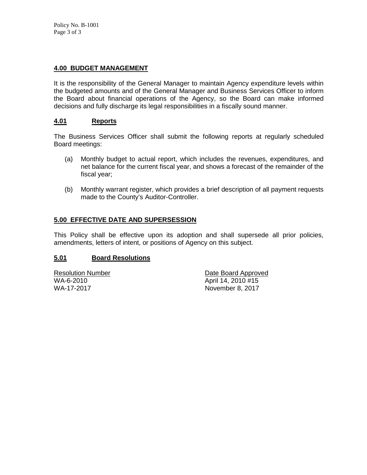# **4.00 BUDGET MANAGEMENT**

It is the responsibility of the General Manager to maintain Agency expenditure levels within the budgeted amounts and of the General Manager and Business Services Officer to inform the Board about financial operations of the Agency, so the Board can make informed decisions and fully discharge its legal responsibilities in a fiscally sound manner.

# **4.01 Reports**

The Business Services Officer shall submit the following reports at regularly scheduled Board meetings:

- (a) Monthly budget to actual report, which includes the revenues, expenditures, and net balance for the current fiscal year, and shows a forecast of the remainder of the fiscal year;
- (b) Monthly warrant register, which provides a brief description of all payment requests made to the County's Auditor-Controller.

## **5.00 EFFECTIVE DATE AND SUPERSESSION**

This Policy shall be effective upon its adoption and shall supersede all prior policies, amendments, letters of intent, or positions of Agency on this subject.

### **5.01 Board Resolutions**

Resolution Number Date Board Approved WA-6-2010 April 14, 2010 #15 November 8, 2017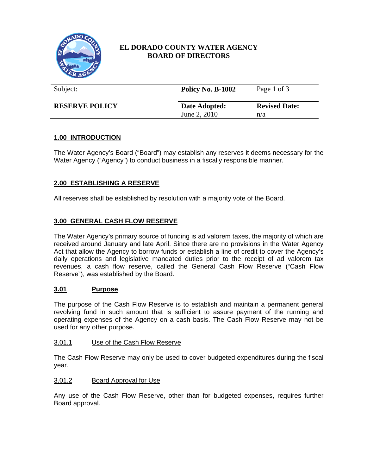

# **EL DORADO COUNTY WATER AGENCY BOARD OF DIRECTORS**

| Subject:              | Policy No. B-1002             | Page 1 of 3                 |
|-----------------------|-------------------------------|-----------------------------|
| <b>RESERVE POLICY</b> | Date Adopted:<br>June 2, 2010 | <b>Revised Date:</b><br>n/a |

# **1.00 INTRODUCTION**

The Water Agency's Board ("Board") may establish any reserves it deems necessary for the Water Agency ("Agency") to conduct business in a fiscally responsible manner.

# **2.00 ESTABLISHING A RESERVE**

All reserves shall be established by resolution with a majority vote of the Board.

### **3.00 GENERAL CASH FLOW RESERVE**

The Water Agency's primary source of funding is ad valorem taxes, the majority of which are received around January and late April. Since there are no provisions in the Water Agency Act that allow the Agency to borrow funds or establish a line of credit to cover the Agency's daily operations and legislative mandated duties prior to the receipt of ad valorem tax revenues, a cash flow reserve, called the General Cash Flow Reserve ("Cash Flow Reserve"), was established by the Board.

### **3.01 Purpose**

The purpose of the Cash Flow Reserve is to establish and maintain a permanent general revolving fund in such amount that is sufficient to assure payment of the running and operating expenses of the Agency on a cash basis. The Cash Flow Reserve may not be used for any other purpose.

#### 3.01.1 Use of the Cash Flow Reserve

The Cash Flow Reserve may only be used to cover budgeted expenditures during the fiscal year.

#### 3.01.2 Board Approval for Use

Any use of the Cash Flow Reserve, other than for budgeted expenses, requires further Board approval.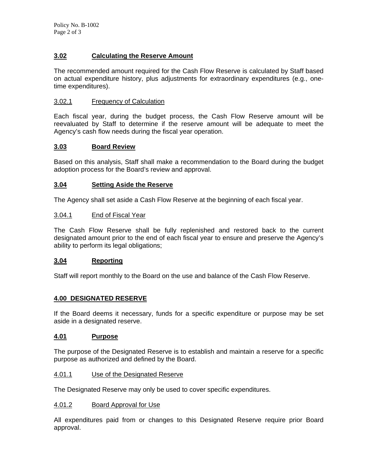# **3.02 Calculating the Reserve Amount**

The recommended amount required for the Cash Flow Reserve is calculated by Staff based on actual expenditure history, plus adjustments for extraordinary expenditures (e.g., onetime expenditures).

#### 3.02.1 Frequency of Calculation

Each fiscal year, during the budget process, the Cash Flow Reserve amount will be reevaluated by Staff to determine if the reserve amount will be adequate to meet the Agency's cash flow needs during the fiscal year operation.

### **3.03 Board Review**

Based on this analysis, Staff shall make a recommendation to the Board during the budget adoption process for the Board's review and approval.

### **3.04 Setting Aside the Reserve**

The Agency shall set aside a Cash Flow Reserve at the beginning of each fiscal year.

#### 3.04.1 End of Fiscal Year

The Cash Flow Reserve shall be fully replenished and restored back to the current designated amount prior to the end of each fiscal year to ensure and preserve the Agency's ability to perform its legal obligations;

### **3.04 Reporting**

Staff will report monthly to the Board on the use and balance of the Cash Flow Reserve.

#### **4.00 DESIGNATED RESERVE**

If the Board deems it necessary, funds for a specific expenditure or purpose may be set aside in a designated reserve.

#### **4.01 Purpose**

The purpose of the Designated Reserve is to establish and maintain a reserve for a specific purpose as authorized and defined by the Board.

#### 4.01.1 Use of the Designated Reserve

The Designated Reserve may only be used to cover specific expenditures.

#### 4.01.2 Board Approval for Use

All expenditures paid from or changes to this Designated Reserve require prior Board approval.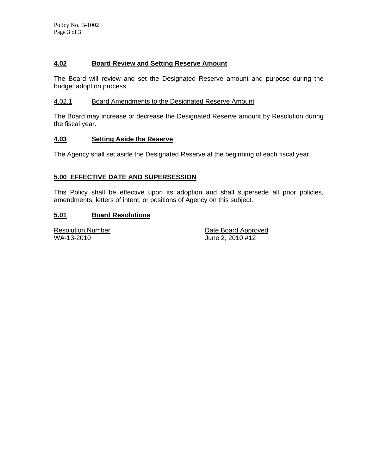# **4.02 Board Review and Setting Reserve Amount**

The Board will review and set the Designated Reserve amount and purpose during the budget adoption process.

#### 4.02.1 Board Amendments to the Designated Reserve Amount

The Board may increase or decrease the Designated Reserve amount by Resolution during the fiscal year.

#### **4.03 Setting Aside the Reserve**

The Agency shall set aside the Designated Reserve at the beginning of each fiscal year.

### **5.00 EFFECTIVE DATE AND SUPERSESSION**

This Policy shall be effective upon its adoption and shall supersede all prior policies, amendments, letters of intent, or positions of Agency on this subject.

### **5.01 Board Resolutions**

WA-13-2010 June 2, 2010 #12

**Resolution Number Community Community** Pate Board Approved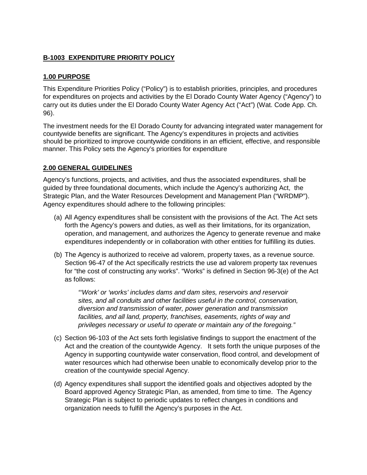# **B-1003 EXPENDITURE PRIORITY POLICY**

# **1.00 PURPOSE**

This Expenditure Priorities Policy ("Policy") is to establish priorities, principles, and procedures for expenditures on projects and activities by the El Dorado County Water Agency ("Agency") to carry out its duties under the El Dorado County Water Agency Act ("Act") (Wat. Code App. Ch. 96).

The investment needs for the El Dorado County for advancing integrated water management for countywide benefits are significant. The Agency's expenditures in projects and activities should be prioritized to improve countywide conditions in an efficient, effective, and responsible manner. This Policy sets the Agency's priorities for expenditure

### **2.00 GENERAL GUIDELINES**

Agency's functions, projects, and activities, and thus the associated expenditures, shall be guided by three foundational documents, which include the Agency's authorizing Act, the Strategic Plan, and the Water Resources Development and Management Plan ("WRDMP"). Agency expenditures should adhere to the following principles:

- (a) All Agency expenditures shall be consistent with the provisions of the Act. The Act sets forth the Agency's powers and duties, as well as their limitations, for its organization, operation, and management, and authorizes the Agency to generate revenue and make expenditures independently or in collaboration with other entities for fulfilling its duties.
- (b) The Agency is authorized to receive ad valorem, property taxes, as a revenue source. Section 96-47 of the Act specifically restricts the use ad valorem property tax revenues for "the cost of constructing any works". "Works" is defined in Section 96-3(e) of the Act as follows:

*"'Work' or 'works' includes dams and dam sites, reservoirs and reservoir sites, and all conduits and other facilities useful in the control, conservation, diversion and transmission of water, power generation and transmission facilities, and all land, property, franchises, easements, rights of way and privileges necessary or useful to operate or maintain any of the foregoing."* 

- (c) Section 96-103 of the Act sets forth legislative findings to support the enactment of the Act and the creation of the countywide Agency. It sets forth the unique purposes of the Agency in supporting countywide water conservation, flood control, and development of water resources which had otherwise been unable to economically develop prior to the creation of the countywide special Agency.
- (d) Agency expenditures shall support the identified goals and objectives adopted by the Board approved Agency Strategic Plan, as amended, from time to time. The Agency Strategic Plan is subject to periodic updates to reflect changes in conditions and organization needs to fulfill the Agency's purposes in the Act.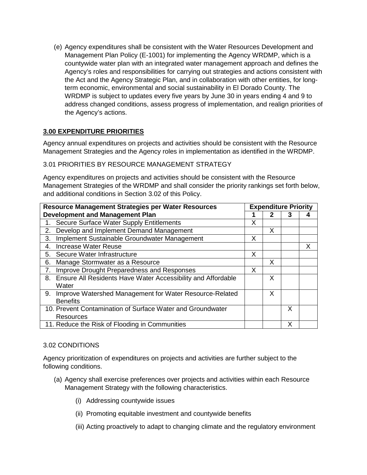(e) Agency expenditures shall be consistent with the Water Resources Development and Management Plan Policy (E-1001) for implementing the Agency WRDMP, which is a countywide water plan with an integrated water management approach and defines the Agency's roles and responsibilities for carrying out strategies and actions consistent with the Act and the Agency Strategic Plan, and in collaboration with other entities, for longterm economic, environmental and social sustainability in El Dorado County. The WRDMP is subject to updates every five years by June 30 in years ending 4 and 9 to address changed conditions, assess progress of implementation, and realign priorities of the Agency's actions.

# **3.00 EXPENDITURE PRIORITIES**

Agency annual expenditures on projects and activities should be consistent with the Resource Management Strategies and the Agency roles in implementation as identified in the WRDMP.

### 3.01 PRIORITIES BY RESOURCE MANAGEMENT STRATEGY

Agency expenditures on projects and activities should be consistent with the Resource Management Strategies of the WRDMP and shall consider the priority rankings set forth below, and additional conditions in Section 3.02 of this Policy.

| <b>Resource Management Strategies per Water Resources</b>          |   | <b>Expenditure Priority</b> |   |   |
|--------------------------------------------------------------------|---|-----------------------------|---|---|
| <b>Development and Management Plan</b>                             |   |                             |   |   |
| Secure Surface Water Supply Entitlements<br>1.                     | x |                             |   |   |
| Develop and Implement Demand Management<br>2.                      |   | X                           |   |   |
| Implement Sustainable Groundwater Management<br>3.                 | X |                             |   |   |
| Increase Water Reuse<br>4.                                         |   |                             |   | X |
| Secure Water Infrastructure<br>5.                                  | X |                             |   |   |
| Manage Stormwater as a Resource<br>6.                              |   | X                           |   |   |
| Improve Drought Preparedness and Responses<br>7.                   | X |                             |   |   |
| Ensure All Residents Have Water Accessibility and Affordable<br>8. |   | X                           |   |   |
| Water                                                              |   |                             |   |   |
| Improve Watershed Management for Water Resource-Related<br>9.      |   | X                           |   |   |
| <b>Benefits</b>                                                    |   |                             |   |   |
| 10. Prevent Contamination of Surface Water and Groundwater         |   |                             | X |   |
| Resources                                                          |   |                             |   |   |
| 11. Reduce the Risk of Flooding in Communities                     |   |                             | Χ |   |

### 3.02 CONDITIONS

Agency prioritization of expenditures on projects and activities are further subject to the following conditions.

- (a) Agency shall exercise preferences over projects and activities within each Resource Management Strategy with the following characteristics.
	- (i) Addressing countywide issues
	- (ii) Promoting equitable investment and countywide benefits
	- (iii) Acting proactively to adapt to changing climate and the regulatory environment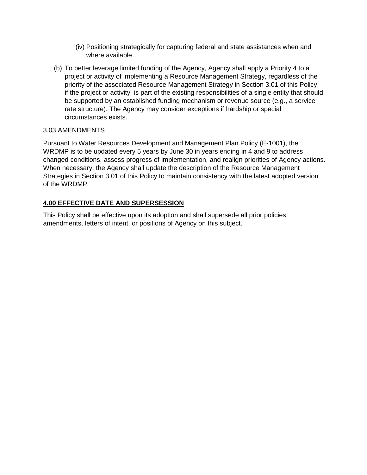- (iv) Positioning strategically for capturing federal and state assistances when and where available
- (b) To better leverage limited funding of the Agency, Agency shall apply a Priority 4 to a project or activity of implementing a Resource Management Strategy, regardless of the priority of the associated Resource Management Strategy in Section 3.01 of this Policy, if the project or activity is part of the existing responsibilities of a single entity that should be supported by an established funding mechanism or revenue source (e.g., a service rate structure). The Agency may consider exceptions if hardship or special circumstances exists.

### 3.03 AMENDMENTS

Pursuant to Water Resources Development and Management Plan Policy (E-1001), the WRDMP is to be updated every 5 years by June 30 in years ending in 4 and 9 to address changed conditions, assess progress of implementation, and realign priorities of Agency actions. When necessary, the Agency shall update the description of the Resource Management Strategies in Section 3.01 of this Policy to maintain consistency with the latest adopted version of the WRDMP.

# **4.00 EFFECTIVE DATE AND SUPERSESSION**

This Policy shall be effective upon its adoption and shall supersede all prior policies, amendments, letters of intent, or positions of Agency on this subject.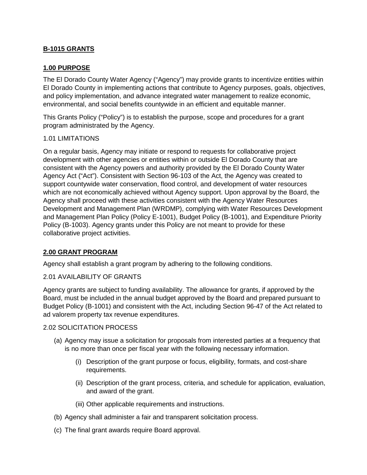# **B-1015 GRANTS**

### **1.00 PURPOSE**

The El Dorado County Water Agency ("Agency") may provide grants to incentivize entities within El Dorado County in implementing actions that contribute to Agency purposes, goals, objectives, and policy implementation, and advance integrated water management to realize economic, environmental, and social benefits countywide in an efficient and equitable manner.

This Grants Policy ("Policy") is to establish the purpose, scope and procedures for a grant program administrated by the Agency.

#### 1.01 LIMITATIONS

On a regular basis, Agency may initiate or respond to requests for collaborative project development with other agencies or entities within or outside El Dorado County that are consistent with the Agency powers and authority provided by the El Dorado County Water Agency Act ("Act"). Consistent with Section 96-103 of the Act, the Agency was created to support countywide water conservation, flood control, and development of water resources which are not economically achieved without Agency support. Upon approval by the Board, the Agency shall proceed with these activities consistent with the Agency Water Resources Development and Management Plan (WRDMP), complying with Water Resources Development and Management Plan Policy (Policy E-1001), Budget Policy (B-1001), and Expenditure Priority Policy (B-1003). Agency grants under this Policy are not meant to provide for these collaborative project activities.

### **2.00 GRANT PROGRAM**

Agency shall establish a grant program by adhering to the following conditions.

#### 2.01 AVAILABILITY OF GRANTS

Agency grants are subject to funding availability. The allowance for grants, if approved by the Board, must be included in the annual budget approved by the Board and prepared pursuant to Budget Policy (B-1001) and consistent with the Act, including Section 96-47 of the Act related to ad valorem property tax revenue expenditures.

#### 2.02 SOLICITATION PROCESS

- (a) Agency may issue a solicitation for proposals from interested parties at a frequency that is no more than once per fiscal year with the following necessary information.
	- (i) Description of the grant purpose or focus, eligibility, formats, and cost-share requirements.
	- (ii) Description of the grant process, criteria, and schedule for application, evaluation, and award of the grant.
	- (iii) Other applicable requirements and instructions.
- (b) Agency shall administer a fair and transparent solicitation process.
- (c) The final grant awards require Board approval.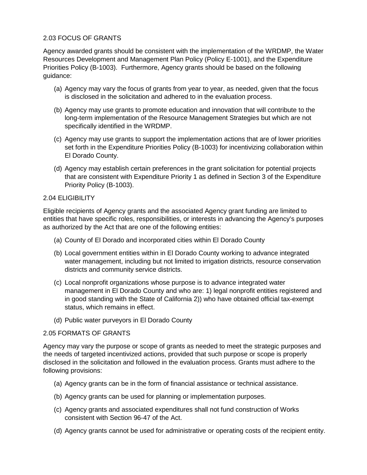# 2.03 FOCUS OF GRANTS

Agency awarded grants should be consistent with the implementation of the WRDMP, the Water Resources Development and Management Plan Policy (Policy E-1001), and the Expenditure Priorities Policy (B-1003). Furthermore, Agency grants should be based on the following guidance:

- (a) Agency may vary the focus of grants from year to year, as needed, given that the focus is disclosed in the solicitation and adhered to in the evaluation process.
- (b) Agency may use grants to promote education and innovation that will contribute to the long-term implementation of the Resource Management Strategies but which are not specifically identified in the WRDMP.
- (c) Agency may use grants to support the implementation actions that are of lower priorities set forth in the Expenditure Priorities Policy (B-1003) for incentivizing collaboration within El Dorado County.
- (d) Agency may establish certain preferences in the grant solicitation for potential projects that are consistent with Expenditure Priority 1 as defined in Section 3 of the Expenditure Priority Policy (B-1003).

### 2.04 ELIGIBILITY

Eligible recipients of Agency grants and the associated Agency grant funding are limited to entities that have specific roles, responsibilities, or interests in advancing the Agency's purposes as authorized by the Act that are one of the following entities:

- (a) County of El Dorado and incorporated cities within El Dorado County
- (b) Local government entities within in El Dorado County working to advance integrated water management, including but not limited to irrigation districts, resource conservation districts and community service districts.
- (c) Local nonprofit organizations whose purpose is to advance integrated water management in El Dorado County and who are: 1) legal nonprofit entities registered and in good standing with the State of California 2)) who have obtained official tax-exempt status, which remains in effect.
- (d) Public water purveyors in El Dorado County

### 2.05 FORMATS OF GRANTS

Agency may vary the purpose or scope of grants as needed to meet the strategic purposes and the needs of targeted incentivized actions, provided that such purpose or scope is properly disclosed in the solicitation and followed in the evaluation process. Grants must adhere to the following provisions:

- (a) Agency grants can be in the form of financial assistance or technical assistance.
- (b) Agency grants can be used for planning or implementation purposes.
- (c) Agency grants and associated expenditures shall not fund construction of Works consistent with Section 96-47 of the Act.
- (d) Agency grants cannot be used for administrative or operating costs of the recipient entity.